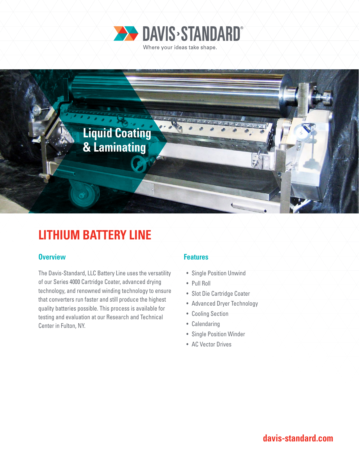



# **LITHIUM BATTERY LINE**

### **Overview Features**

The Davis-Standard, LLC Battery Line uses the versatility of our Series 4000 Cartridge Coater, advanced drying technology, and renowned winding technology to ensure that converters run faster and still produce the highest quality batteries possible. This process is available for testing and evaluation at our Research and Technical Center in Fulton, NY.

- Single Position Unwind
- Pull Roll
- Slot Die Cartridge Coater
- Advanced Dryer Technology
- Cooling Section
- Calendaring
- Single Position Winder
- AC Vector Drives